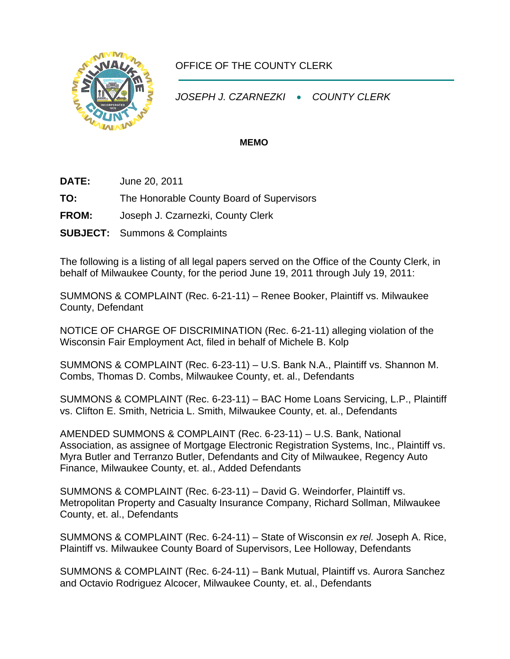

## OFFICE OF THE COUNTY CLERK

*JOSEPH J. CZARNEZKI* • *COUNTY CLERK* 

## **MEMO**

- **DATE:** June 20, 2011
- **TO:** The Honorable County Board of Supervisors
- **FROM:** Joseph J. Czarnezki, County Clerk
- **SUBJECT:** Summons & Complaints

The following is a listing of all legal papers served on the Office of the County Clerk, in behalf of Milwaukee County, for the period June 19, 2011 through July 19, 2011:

SUMMONS & COMPLAINT (Rec. 6-21-11) – Renee Booker, Plaintiff vs. Milwaukee County, Defendant

NOTICE OF CHARGE OF DISCRIMINATION (Rec. 6-21-11) alleging violation of the Wisconsin Fair Employment Act, filed in behalf of Michele B. Kolp

SUMMONS & COMPLAINT (Rec. 6-23-11) – U.S. Bank N.A., Plaintiff vs. Shannon M. Combs, Thomas D. Combs, Milwaukee County, et. al., Defendants

SUMMONS & COMPLAINT (Rec. 6-23-11) – BAC Home Loans Servicing, L.P., Plaintiff vs. Clifton E. Smith, Netricia L. Smith, Milwaukee County, et. al., Defendants

AMENDED SUMMONS & COMPLAINT (Rec. 6-23-11) – U.S. Bank, National Association, as assignee of Mortgage Electronic Registration Systems, Inc., Plaintiff vs. Myra Butler and Terranzo Butler, Defendants and City of Milwaukee, Regency Auto Finance, Milwaukee County, et. al., Added Defendants

SUMMONS & COMPLAINT (Rec. 6-23-11) – David G. Weindorfer, Plaintiff vs. Metropolitan Property and Casualty Insurance Company, Richard Sollman, Milwaukee County, et. al., Defendants

SUMMONS & COMPLAINT (Rec. 6-24-11) – State of Wisconsin *ex rel.* Joseph A. Rice, Plaintiff vs. Milwaukee County Board of Supervisors, Lee Holloway, Defendants

SUMMONS & COMPLAINT (Rec. 6-24-11) – Bank Mutual, Plaintiff vs. Aurora Sanchez and Octavio Rodriguez Alcocer, Milwaukee County, et. al., Defendants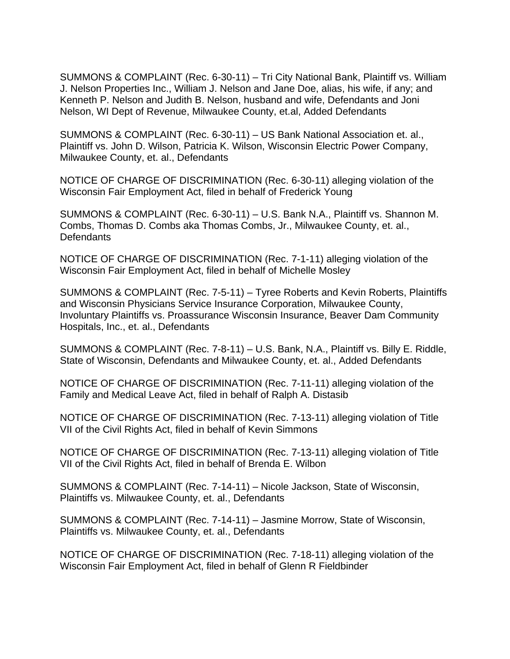SUMMONS & COMPLAINT (Rec. 6-30-11) – Tri City National Bank, Plaintiff vs. William J. Nelson Properties Inc., William J. Nelson and Jane Doe, alias, his wife, if any; and Kenneth P. Nelson and Judith B. Nelson, husband and wife, Defendants and Joni Nelson, WI Dept of Revenue, Milwaukee County, et.al, Added Defendants

SUMMONS & COMPLAINT (Rec. 6-30-11) – US Bank National Association et. al., Plaintiff vs. John D. Wilson, Patricia K. Wilson, Wisconsin Electric Power Company, Milwaukee County, et. al., Defendants

NOTICE OF CHARGE OF DISCRIMINATION (Rec. 6-30-11) alleging violation of the Wisconsin Fair Employment Act, filed in behalf of Frederick Young

SUMMONS & COMPLAINT (Rec. 6-30-11) – U.S. Bank N.A., Plaintiff vs. Shannon M. Combs, Thomas D. Combs aka Thomas Combs, Jr., Milwaukee County, et. al., **Defendants** 

NOTICE OF CHARGE OF DISCRIMINATION (Rec. 7-1-11) alleging violation of the Wisconsin Fair Employment Act, filed in behalf of Michelle Mosley

SUMMONS & COMPLAINT (Rec. 7-5-11) – Tyree Roberts and Kevin Roberts, Plaintiffs and Wisconsin Physicians Service Insurance Corporation, Milwaukee County, Involuntary Plaintiffs vs. Proassurance Wisconsin Insurance, Beaver Dam Community Hospitals, Inc., et. al., Defendants

SUMMONS & COMPLAINT (Rec. 7-8-11) – U.S. Bank, N.A., Plaintiff vs. Billy E. Riddle, State of Wisconsin, Defendants and Milwaukee County, et. al., Added Defendants

NOTICE OF CHARGE OF DISCRIMINATION (Rec. 7-11-11) alleging violation of the Family and Medical Leave Act, filed in behalf of Ralph A. Distasib

NOTICE OF CHARGE OF DISCRIMINATION (Rec. 7-13-11) alleging violation of Title VII of the Civil Rights Act, filed in behalf of Kevin Simmons

NOTICE OF CHARGE OF DISCRIMINATION (Rec. 7-13-11) alleging violation of Title VII of the Civil Rights Act, filed in behalf of Brenda E. Wilbon

SUMMONS & COMPLAINT (Rec. 7-14-11) – Nicole Jackson, State of Wisconsin, Plaintiffs vs. Milwaukee County, et. al., Defendants

SUMMONS & COMPLAINT (Rec. 7-14-11) – Jasmine Morrow, State of Wisconsin, Plaintiffs vs. Milwaukee County, et. al., Defendants

NOTICE OF CHARGE OF DISCRIMINATION (Rec. 7-18-11) alleging violation of the Wisconsin Fair Employment Act, filed in behalf of Glenn R Fieldbinder